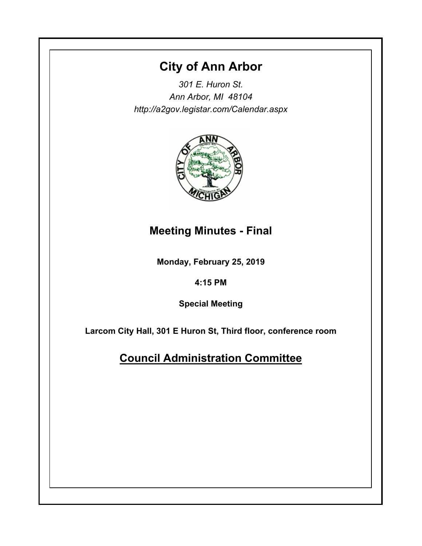# **City of Ann Arbor**

*301 E. Huron St. Ann Arbor, MI 48104 http://a2gov.legistar.com/Calendar.aspx*



## **Meeting Minutes - Final**

**Monday, February 25, 2019**

### **4:15 PM**

**Special Meeting**

**Larcom City Hall, 301 E Huron St, Third floor, conference room**

# **Council Administration Committee**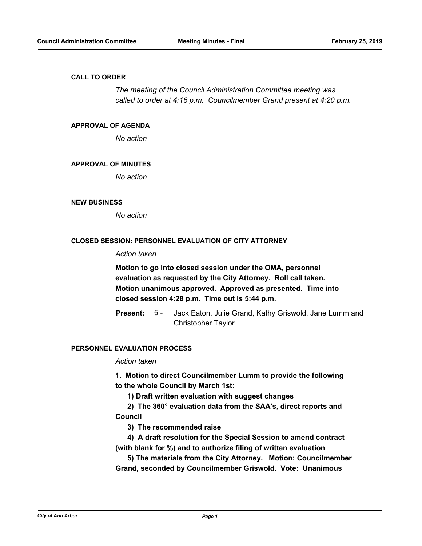#### **CALL TO ORDER**

*The meeting of the Council Administration Committee meeting was called to order at 4:16 p.m. Councilmember Grand present at 4:20 p.m.*

#### **APPROVAL OF AGENDA**

*No action*

#### **APPROVAL OF MINUTES**

*No action*

#### **NEW BUSINESS**

*No action*

#### **CLOSED SESSION: PERSONNEL EVALUATION OF CITY ATTORNEY**

### *Action taken*

**Motion to go into closed session under the OMA, personnel evaluation as requested by the City Attorney. Roll call taken. Motion unanimous approved. Approved as presented. Time into closed session 4:28 p.m. Time out is 5:44 p.m.**

Jack Eaton, Julie Grand, Kathy Griswold, Jane Lumm and Christopher Taylor **Present:** 5 -

### **PERSONNEL EVALUATION PROCESS**

#### *Action taken*

**1. Motion to direct Councilmember Lumm to provide the following to the whole Council by March 1st:**

 **1) Draft written evaluation with suggest changes**

 **2) The 360° evaluation data from the SAA's, direct reports and Council**

 **3) The recommended raise**

 **4) A draft resolution for the Special Session to amend contract (with blank for %) and to authorize filing of written evaluation**

 **5) The materials from the City Attorney. Motion: Councilmember Grand, seconded by Councilmember Griswold. Vote: Unanimous**